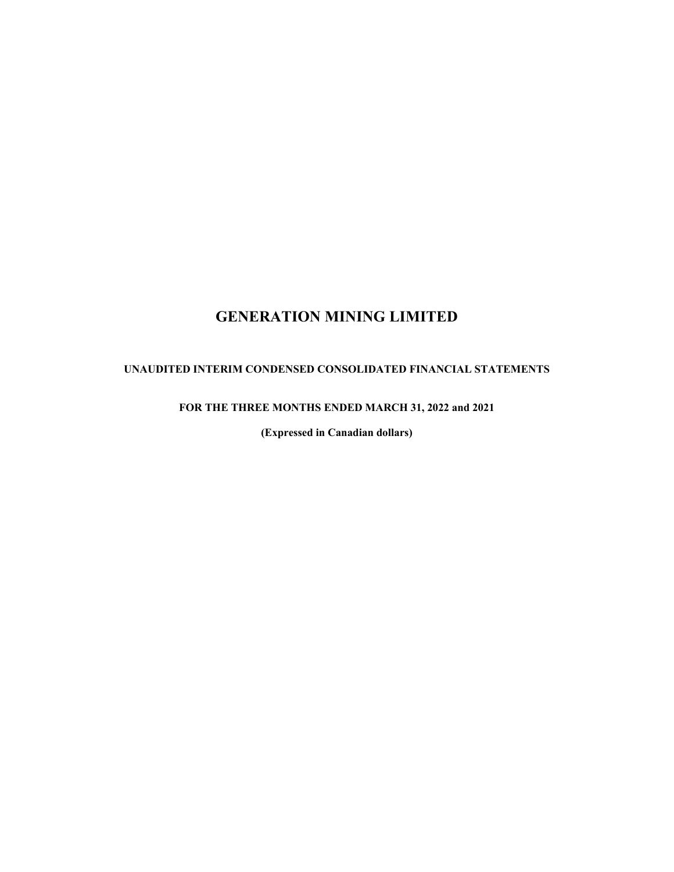# **UNAUDITED INTERIM CONDENSED CONSOLIDATED FINANCIAL STATEMENTS**

# **FOR THE THREE MONTHS ENDED MARCH 31, 2022 and 2021**

**(Expressed in Canadian dollars)**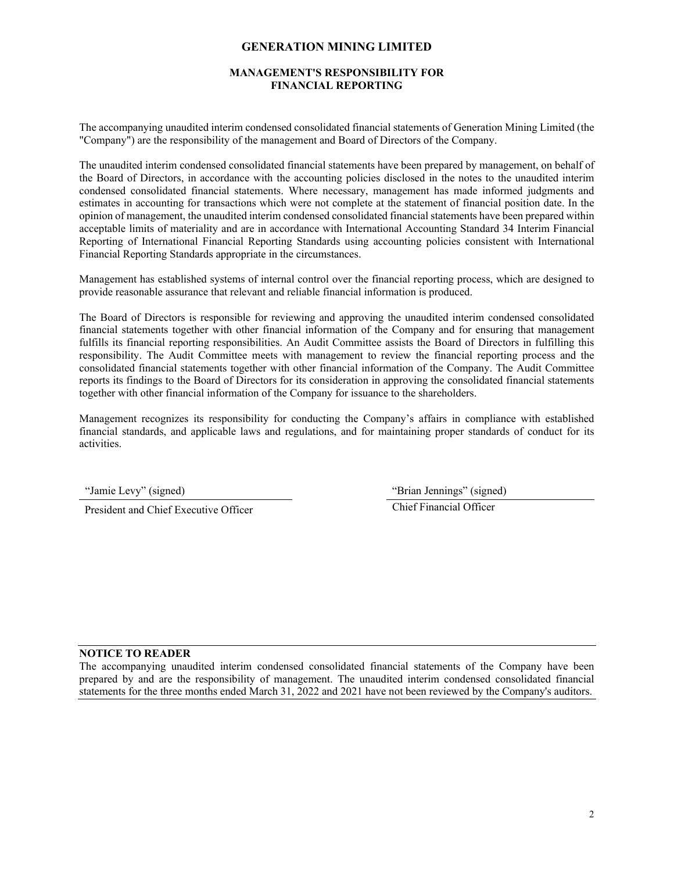#### **MANAGEMENT'S RESPONSIBILITY FOR FINANCIAL REPORTING**

The accompanying unaudited interim condensed consolidated financial statements of Generation Mining Limited (the "Company") are the responsibility of the management and Board of Directors of the Company.

The unaudited interim condensed consolidated financial statements have been prepared by management, on behalf of the Board of Directors, in accordance with the accounting policies disclosed in the notes to the unaudited interim condensed consolidated financial statements. Where necessary, management has made informed judgments and estimates in accounting for transactions which were not complete at the statement of financial position date. In the opinion of management, the unaudited interim condensed consolidated financial statements have been prepared within acceptable limits of materiality and are in accordance with International Accounting Standard 34 Interim Financial Reporting of International Financial Reporting Standards using accounting policies consistent with International Financial Reporting Standards appropriate in the circumstances.

Management has established systems of internal control over the financial reporting process, which are designed to provide reasonable assurance that relevant and reliable financial information is produced.

The Board of Directors is responsible for reviewing and approving the unaudited interim condensed consolidated financial statements together with other financial information of the Company and for ensuring that management fulfills its financial reporting responsibilities. An Audit Committee assists the Board of Directors in fulfilling this responsibility. The Audit Committee meets with management to review the financial reporting process and the consolidated financial statements together with other financial information of the Company. The Audit Committee reports its findings to the Board of Directors for its consideration in approving the consolidated financial statements together with other financial information of the Company for issuance to the shareholders.

Management recognizes its responsibility for conducting the Company's affairs in compliance with established financial standards, and applicable laws and regulations, and for maintaining proper standards of conduct for its activities.

President and Chief Executive Officer Chief Financial Officer

"Jamie Levy" (signed) "Brian Jennings" (signed)

#### **NOTICE TO READER**

The accompanying unaudited interim condensed consolidated financial statements of the Company have been prepared by and are the responsibility of management. The unaudited interim condensed consolidated financial statements for the three months ended March 31, 2022 and 2021 have not been reviewed by the Company's auditors.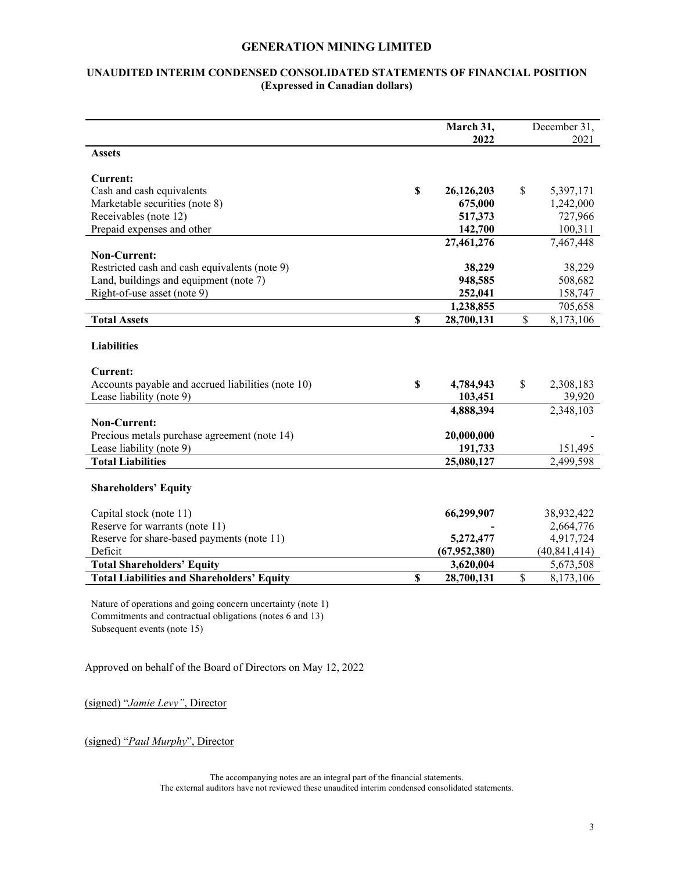## **UNAUDITED INTERIM CONDENSED CONSOLIDATED STATEMENTS OF FINANCIAL POSITION (Expressed in Canadian dollars)**

|                                                    |                           | March 31,<br>2022 |      | December 31,<br>2021 |
|----------------------------------------------------|---------------------------|-------------------|------|----------------------|
| <b>Assets</b>                                      |                           |                   |      |                      |
|                                                    |                           |                   |      |                      |
| <b>Current:</b>                                    |                           |                   |      |                      |
| Cash and cash equivalents                          | $\boldsymbol{\mathsf{S}}$ | 26,126,203        | \$   | 5,397,171            |
| Marketable securities (note 8)                     |                           | 675,000           |      | 1,242,000            |
| Receivables (note 12)                              |                           | 517,373           |      | 727,966              |
| Prepaid expenses and other                         |                           | 142,700           |      | 100,311              |
|                                                    |                           | 27,461,276        |      | 7,467,448            |
| Non-Current:                                       |                           |                   |      |                      |
| Restricted cash and cash equivalents (note 9)      |                           | 38,229            |      | 38,229               |
| Land, buildings and equipment (note 7)             |                           | 948,585           |      | 508,682              |
| Right-of-use asset (note 9)                        |                           | 252,041           |      | 158,747              |
|                                                    |                           | 1,238,855         |      | 705,658              |
| <b>Total Assets</b>                                | \$                        | 28,700,131        | \$   | 8,173,106            |
|                                                    |                           |                   |      |                      |
| <b>Liabilities</b>                                 |                           |                   |      |                      |
| <b>Current:</b>                                    |                           |                   |      |                      |
| Accounts payable and accrued liabilities (note 10) | $\boldsymbol{\mathsf{S}}$ | 4,784,943         | \$   | 2,308,183            |
| Lease liability (note 9)                           |                           | 103,451           |      | 39,920               |
|                                                    |                           | 4,888,394         |      | 2,348,103            |
| Non-Current:                                       |                           |                   |      |                      |
| Precious metals purchase agreement (note 14)       |                           | 20,000,000        |      |                      |
| Lease liability (note 9)                           |                           | 191,733           |      | 151,495              |
| <b>Total Liabilities</b>                           |                           | 25,080,127        |      | 2,499,598            |
|                                                    |                           |                   |      |                      |
| <b>Shareholders' Equity</b>                        |                           |                   |      |                      |
|                                                    |                           |                   |      |                      |
| Capital stock (note 11)                            |                           | 66,299,907        |      | 38,932,422           |
| Reserve for warrants (note 11)                     |                           |                   |      | 2,664,776            |
| Reserve for share-based payments (note 11)         |                           | 5,272,477         |      | 4,917,724            |
| Deficit                                            |                           | (67, 952, 380)    |      | (40, 841, 414)       |
| <b>Total Shareholders' Equity</b>                  |                           | 3,620,004         |      | 5,673,508            |
| <b>Total Liabilities and Shareholders' Equity</b>  | \$                        | 28,700,131        | $\$$ | 8,173,106            |
|                                                    |                           |                   |      |                      |

Nature of operations and going concern uncertainty (note 1) Commitments and contractual obligations (notes 6 and 13) Subsequent events (note 15)

Approved on behalf of the Board of Directors on May 12, 2022

(signed) "*Jamie Levy"*, Director

(signed) "*Paul Murphy*", Director

The accompanying notes are an integral part of the financial statements.

The external auditors have not reviewed these unaudited interim condensed consolidated statements.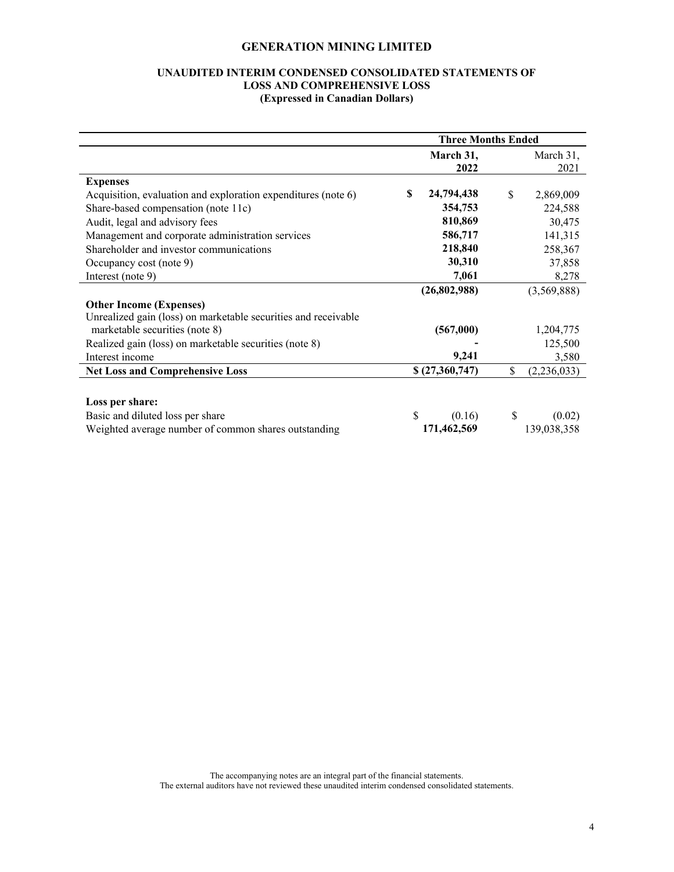#### **UNAUDITED INTERIM CONDENSED CONSOLIDATED STATEMENTS OF LOSS AND COMPREHENSIVE LOSS (Expressed in Canadian Dollars)**

|                                                                | <b>Three Months Ended</b> |                     |  |  |
|----------------------------------------------------------------|---------------------------|---------------------|--|--|
|                                                                | March 31,                 | March 31,           |  |  |
|                                                                | 2022                      | 2021                |  |  |
| <b>Expenses</b>                                                |                           |                     |  |  |
| Acquisition, evaluation and exploration expenditures (note 6)  | 24,794,438<br>\$.         | \$<br>2,869,009     |  |  |
| Share-based compensation (note 11c)                            | 354,753                   | 224,588             |  |  |
| Audit, legal and advisory fees                                 | 810,869                   | 30,475              |  |  |
| Management and corporate administration services               | 586,717                   | 141,315             |  |  |
| Shareholder and investor communications                        | 218,840                   | 258,367             |  |  |
| Occupancy cost (note 9)                                        | 30,310                    | 37,858              |  |  |
| Interest (note 9)                                              | 7,061                     | 8,278               |  |  |
|                                                                | (26,802,988)              | (3,569,888)         |  |  |
| <b>Other Income (Expenses)</b>                                 |                           |                     |  |  |
| Unrealized gain (loss) on marketable securities and receivable |                           |                     |  |  |
| marketable securities (note 8)                                 | (567,000)                 | 1,204,775           |  |  |
| Realized gain (loss) on marketable securities (note 8)         |                           | 125,500             |  |  |
| Interest income                                                | 9,241                     | 3,580               |  |  |
| <b>Net Loss and Comprehensive Loss</b>                         | \$(27,360,747)            | \$<br>(2, 236, 033) |  |  |
|                                                                |                           |                     |  |  |
| Loss per share:                                                |                           |                     |  |  |
| Basic and diluted loss per share                               | \$<br>(0.16)              | \$<br>(0.02)        |  |  |
| Weighted average number of common shares outstanding           | 171,462,569               | 139,038,358         |  |  |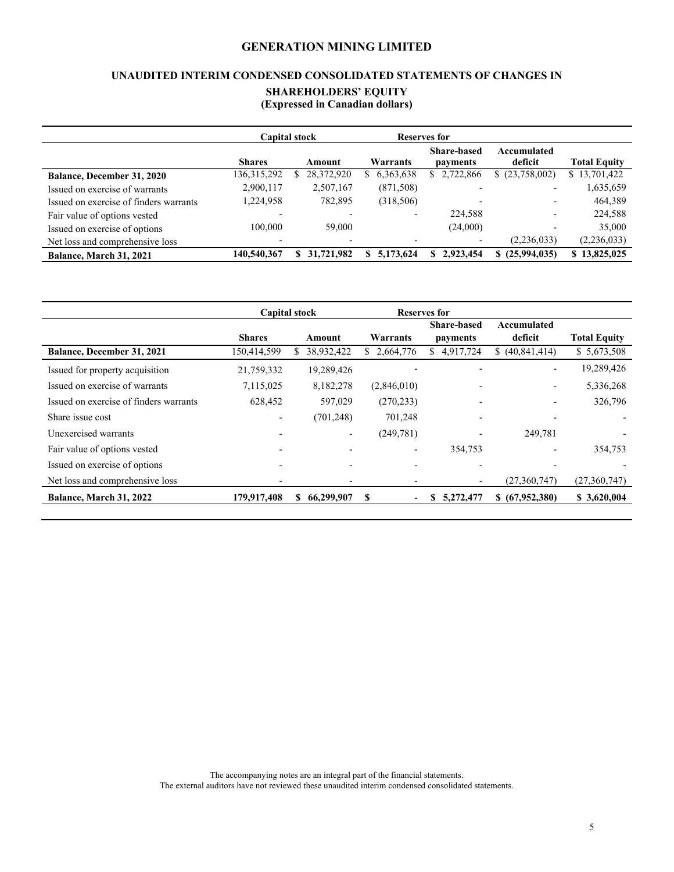## **UNAUDITED INTERIM CONDENSED CONSOLIDATED STATEMENTS OF CHANGES IN SHAREHOLDERS' EQUITY**

# **(Expressed in Canadian dollars)**

|                                        | <b>Capital stock</b>     |    | <b>Reserves for</b> |    |                          |    |                                |                        |                     |
|----------------------------------------|--------------------------|----|---------------------|----|--------------------------|----|--------------------------------|------------------------|---------------------|
|                                        | <b>Shares</b>            |    | Amount              |    | Warrants                 |    | <b>Share-based</b><br>payments | Accumulated<br>deficit | <b>Total Equity</b> |
| <b>Balance, December 31, 2020</b>      | 136,315,292              | S  | 28,372,920          | S. | 6,363,638                | S. | 2,722,866                      | \$(23,758,002)         | \$13,701,422        |
| Issued on exercise of warrants         | 2,900,117                |    | 2,507,167           |    | (871,508)                |    | $\overline{\phantom{0}}$       |                        | 1,635,659           |
| Issued on exercise of finders warrants | 1,224,958                |    | 782,895             |    | (318,506)                |    |                                |                        | 464,389             |
| Fair value of options vested           | $\overline{\phantom{0}}$ |    |                     |    | $\overline{\phantom{0}}$ |    | 224,588                        | -                      | 224,588             |
| Issued on exercise of options          | 100.000                  |    | 59,000              |    |                          |    | (24,000)                       |                        | 35,000              |
| Net loss and comprehensive loss        | $\overline{\phantom{0}}$ |    |                     |    |                          |    |                                | (2,236,033)            | (2,236,033)         |
| Balance, March 31, 2021                | 140,540,367              | S. | 31,721,982          | S. | 5,173,624                | S  | 2,923,454                      | \$(25,994,035)         | \$13,825,025        |

|                                        | <b>Capital stock</b>     |                 |                               | Reserves for       |                          |                     |
|----------------------------------------|--------------------------|-----------------|-------------------------------|--------------------|--------------------------|---------------------|
|                                        |                          |                 |                               | <b>Share-based</b> | Accumulated              |                     |
|                                        | <b>Shares</b>            | Amount          | Warrants                      | payments           | deficit                  | <b>Total Equity</b> |
| Balance, December 31, 2021             | 150,414,599              | 38,932,422<br>S | 2,664,776<br>S.               | 4,917,724<br>S.    | \$(40,841,414)           | \$5,673,508         |
| Issued for property acquisition        | 21,759,332               | 19,289,426      |                               |                    |                          | 19,289,426          |
| Issued on exercise of warrants         | 7,115,025                | 8,182,278       | (2,846,010)                   |                    |                          | 5,336,268           |
| Issued on exercise of finders warrants | 628,452                  | 597,029         | (270, 233)                    |                    |                          | 326,796             |
| Share issue cost                       | $\overline{\phantom{a}}$ | (701, 248)      | 701,248                       |                    |                          |                     |
| Unexercised warrants                   | $\overline{\phantom{a}}$ | $\qquad \qquad$ | (249,781)                     |                    | 249,781                  |                     |
| Fair value of options vested           |                          |                 | $\overline{\phantom{a}}$      | 354,753            | $\overline{\phantom{0}}$ | 354,753             |
| Issued on exercise of options          |                          |                 |                               |                    |                          |                     |
| Net loss and comprehensive loss        |                          |                 |                               |                    | (27,360,747)             | (27,360,747)        |
| Balance, March 31, 2022                | 179,917,408              | 66,299,907<br>S | S<br>$\overline{\phantom{a}}$ | 5,272,477<br>S.    | \$ (67,952,380)          | \$3,620,004         |

The accompanying notes are an integral part of the financial statements. The external auditors have not reviewed these unaudited interim condensed consolidated statements.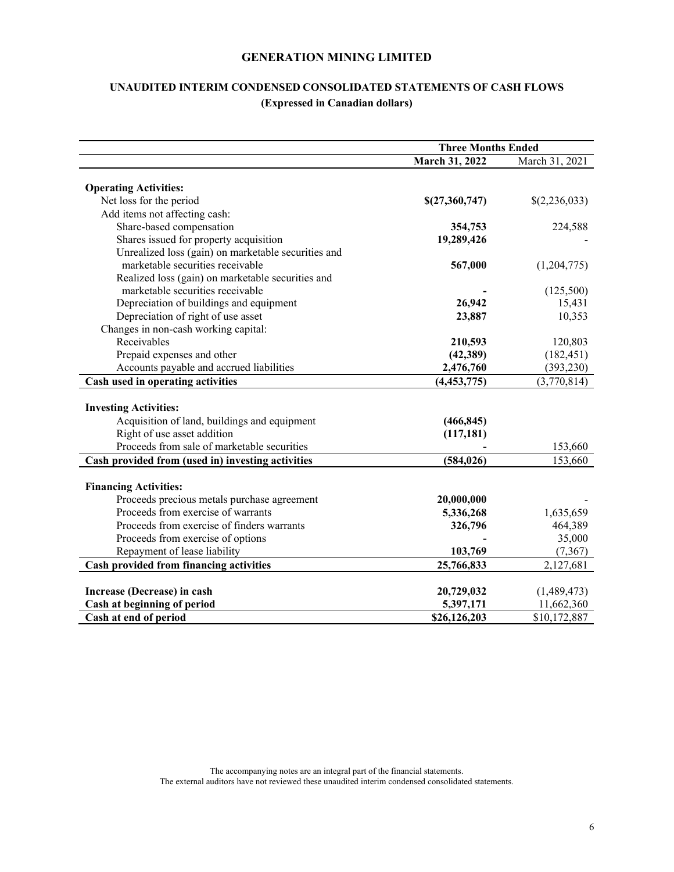# **UNAUDITED INTERIM CONDENSED CONSOLIDATED STATEMENTS OF CASH FLOWS (Expressed in Canadian dollars)**

|                                                     | <b>Three Months Ended</b> |                |  |
|-----------------------------------------------------|---------------------------|----------------|--|
|                                                     | March 31, 2022            | March 31, 2021 |  |
|                                                     |                           |                |  |
| <b>Operating Activities:</b>                        |                           |                |  |
| Net loss for the period                             | \$(27,360,747)            | \$(2,236,033)  |  |
| Add items not affecting cash:                       |                           |                |  |
| Share-based compensation                            | 354,753                   | 224,588        |  |
| Shares issued for property acquisition              | 19,289,426                |                |  |
| Unrealized loss (gain) on marketable securities and |                           |                |  |
| marketable securities receivable                    | 567,000                   | (1,204,775)    |  |
| Realized loss (gain) on marketable securities and   |                           |                |  |
| marketable securities receivable                    |                           | (125,500)      |  |
| Depreciation of buildings and equipment             | 26,942                    | 15,431         |  |
| Depreciation of right of use asset                  | 23,887                    | 10,353         |  |
| Changes in non-cash working capital:                |                           |                |  |
| Receivables                                         | 210,593                   | 120,803        |  |
| Prepaid expenses and other                          | (42,389)                  | (182, 451)     |  |
| Accounts payable and accrued liabilities            | 2,476,760                 | (393, 230)     |  |
| Cash used in operating activities                   | (4, 453, 775)             | (3,770,814)    |  |
|                                                     |                           |                |  |
| <b>Investing Activities:</b>                        |                           |                |  |
| Acquisition of land, buildings and equipment        | (466, 845)                |                |  |
| Right of use asset addition                         | (117, 181)                |                |  |
| Proceeds from sale of marketable securities         |                           | 153,660        |  |
| Cash provided from (used in) investing activities   | (584, 026)                | 153,660        |  |
|                                                     |                           |                |  |
| <b>Financing Activities:</b>                        |                           |                |  |
| Proceeds precious metals purchase agreement         | 20,000,000                |                |  |
| Proceeds from exercise of warrants                  | 5,336,268                 | 1,635,659      |  |
| Proceeds from exercise of finders warrants          | 326,796                   | 464,389        |  |
| Proceeds from exercise of options                   |                           | 35,000         |  |
| Repayment of lease liability                        | 103,769                   | (7, 367)       |  |
| Cash provided from financing activities             | 25,766,833                | 2,127,681      |  |
|                                                     |                           |                |  |
| Increase (Decrease) in cash                         | 20,729,032                | (1,489,473)    |  |
| Cash at beginning of period                         | 5,397,171                 | 11,662,360     |  |
| Cash at end of period                               | \$26,126,203              | \$10,172,887   |  |

The accompanying notes are an integral part of the financial statements. The external auditors have not reviewed these unaudited interim condensed consolidated statements.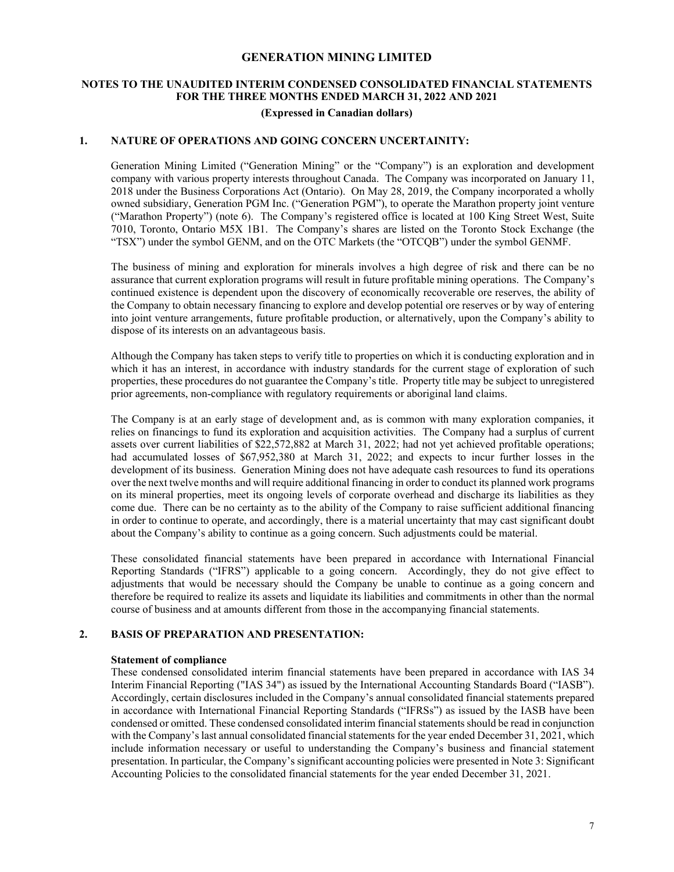## **NOTES TO THE UNAUDITED INTERIM CONDENSED CONSOLIDATED FINANCIAL STATEMENTS FOR THE THREE MONTHS ENDED MARCH 31, 2022 AND 2021 (Expressed in Canadian dollars)**

#### **1. NATURE OF OPERATIONS AND GOING CONCERN UNCERTAINITY:**

Generation Mining Limited ("Generation Mining" or the "Company") is an exploration and development company with various property interests throughout Canada. The Company was incorporated on January 11, 2018 under the Business Corporations Act (Ontario). On May 28, 2019, the Company incorporated a wholly owned subsidiary, Generation PGM Inc. ("Generation PGM"), to operate the Marathon property joint venture ("Marathon Property") (note 6). The Company's registered office is located at 100 King Street West, Suite 7010, Toronto, Ontario M5X 1B1. The Company's shares are listed on the Toronto Stock Exchange (the "TSX") under the symbol GENM, and on the OTC Markets (the "OTCQB") under the symbol GENMF.

The business of mining and exploration for minerals involves a high degree of risk and there can be no assurance that current exploration programs will result in future profitable mining operations. The Company's continued existence is dependent upon the discovery of economically recoverable ore reserves, the ability of the Company to obtain necessary financing to explore and develop potential ore reserves or by way of entering into joint venture arrangements, future profitable production, or alternatively, upon the Company's ability to dispose of its interests on an advantageous basis.

Although the Company has taken steps to verify title to properties on which it is conducting exploration and in which it has an interest, in accordance with industry standards for the current stage of exploration of such properties, these procedures do not guarantee the Company's title. Property title may be subject to unregistered prior agreements, non-compliance with regulatory requirements or aboriginal land claims.

The Company is at an early stage of development and, as is common with many exploration companies, it relies on financings to fund its exploration and acquisition activities. The Company had a surplus of current assets over current liabilities of \$22,572,882 at March 31, 2022; had not yet achieved profitable operations; had accumulated losses of \$67,952,380 at March 31, 2022; and expects to incur further losses in the development of its business. Generation Mining does not have adequate cash resources to fund its operations over the next twelve months and will require additional financing in order to conduct its planned work programs on its mineral properties, meet its ongoing levels of corporate overhead and discharge its liabilities as they come due. There can be no certainty as to the ability of the Company to raise sufficient additional financing in order to continue to operate, and accordingly, there is a material uncertainty that may cast significant doubt about the Company's ability to continue as a going concern. Such adjustments could be material.

These consolidated financial statements have been prepared in accordance with International Financial Reporting Standards ("IFRS") applicable to a going concern. Accordingly, they do not give effect to adjustments that would be necessary should the Company be unable to continue as a going concern and therefore be required to realize its assets and liquidate its liabilities and commitments in other than the normal course of business and at amounts different from those in the accompanying financial statements.

#### **2. BASIS OF PREPARATION AND PRESENTATION:**

#### **Statement of compliance**

These condensed consolidated interim financial statements have been prepared in accordance with IAS 34 Interim Financial Reporting ("IAS 34") as issued by the International Accounting Standards Board ("IASB"). Accordingly, certain disclosures included in the Company's annual consolidated financial statements prepared in accordance with International Financial Reporting Standards ("IFRSs") as issued by the IASB have been condensed or omitted. These condensed consolidated interim financial statements should be read in conjunction with the Company's last annual consolidated financial statements for the year ended December 31, 2021, which include information necessary or useful to understanding the Company's business and financial statement presentation. In particular, the Company's significant accounting policies were presented in Note 3: Significant Accounting Policies to the consolidated financial statements for the year ended December 31, 2021.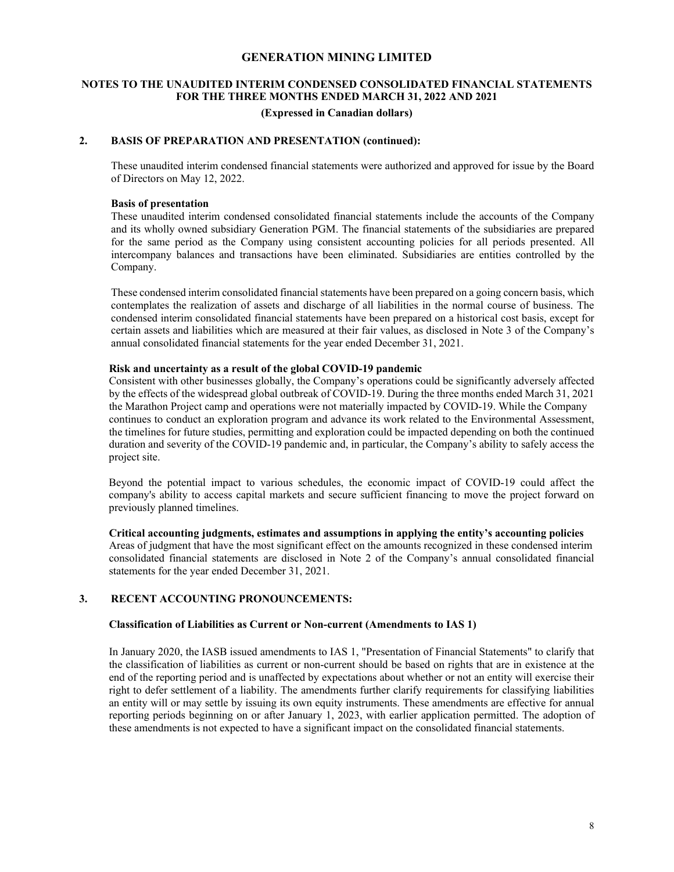## **NOTES TO THE UNAUDITED INTERIM CONDENSED CONSOLIDATED FINANCIAL STATEMENTS FOR THE THREE MONTHS ENDED MARCH 31, 2022 AND 2021 (Expressed in Canadian dollars)**

## **2. BASIS OF PREPARATION AND PRESENTATION (continued):**

These unaudited interim condensed financial statements were authorized and approved for issue by the Board of Directors on May 12, 2022.

#### **Basis of presentation**

These unaudited interim condensed consolidated financial statements include the accounts of the Company and its wholly owned subsidiary Generation PGM. The financial statements of the subsidiaries are prepared for the same period as the Company using consistent accounting policies for all periods presented. All intercompany balances and transactions have been eliminated. Subsidiaries are entities controlled by the Company.

These condensed interim consolidated financial statements have been prepared on a going concern basis, which contemplates the realization of assets and discharge of all liabilities in the normal course of business. The condensed interim consolidated financial statements have been prepared on a historical cost basis, except for certain assets and liabilities which are measured at their fair values, as disclosed in Note 3 of the Company's annual consolidated financial statements for the year ended December 31, 2021.

#### **Risk and uncertainty as a result of the global COVID-19 pandemic**

Consistent with other businesses globally, the Company's operations could be significantly adversely affected by the effects of the widespread global outbreak of COVID-19. During the three months ended March 31, 2021 the Marathon Project camp and operations were not materially impacted by COVID-19. While the Company continues to conduct an exploration program and advance its work related to the Environmental Assessment, the timelines for future studies, permitting and exploration could be impacted depending on both the continued duration and severity of the COVID-19 pandemic and, in particular, the Company's ability to safely access the project site.

Beyond the potential impact to various schedules, the economic impact of COVID-19 could affect the company's ability to access capital markets and secure sufficient financing to move the project forward on previously planned timelines.

**Critical accounting judgments, estimates and assumptions in applying the entity's accounting policies** Areas of judgment that have the most significant effect on the amounts recognized in these condensed interim consolidated financial statements are disclosed in Note 2 of the Company's annual consolidated financial statements for the year ended December 31, 2021.

## **3. RECENT ACCOUNTING PRONOUNCEMENTS:**

#### **Classification of Liabilities as Current or Non-current (Amendments to IAS 1)**

In January 2020, the IASB issued amendments to IAS 1, "Presentation of Financial Statements" to clarify that the classification of liabilities as current or non-current should be based on rights that are in existence at the end of the reporting period and is unaffected by expectations about whether or not an entity will exercise their right to defer settlement of a liability. The amendments further clarify requirements for classifying liabilities an entity will or may settle by issuing its own equity instruments. These amendments are effective for annual reporting periods beginning on or after January 1, 2023, with earlier application permitted. The adoption of these amendments is not expected to have a significant impact on the consolidated financial statements.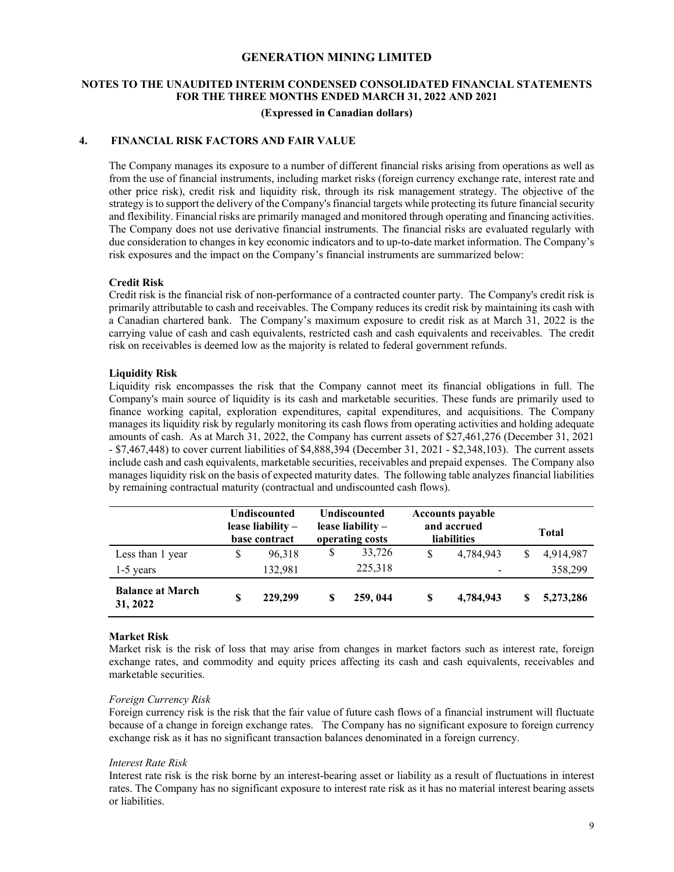## **NOTES TO THE UNAUDITED INTERIM CONDENSED CONSOLIDATED FINANCIAL STATEMENTS FOR THE THREE MONTHS ENDED MARCH 31, 2022 AND 2021 (Expressed in Canadian dollars)**

## **4. FINANCIAL RISK FACTORS AND FAIR VALUE**

The Company manages its exposure to a number of different financial risks arising from operations as well as from the use of financial instruments, including market risks (foreign currency exchange rate, interest rate and other price risk), credit risk and liquidity risk, through its risk management strategy. The objective of the strategy is to support the delivery of the Company's financial targets while protecting itsfuture financial security and flexibility. Financial risks are primarily managed and monitored through operating and financing activities. The Company does not use derivative financial instruments. The financial risks are evaluated regularly with due consideration to changes in key economic indicators and to up-to-date market information. The Company's risk exposures and the impact on the Company's financial instruments are summarized below:

#### **Credit Risk**

Credit risk is the financial risk of non-performance of a contracted counter party. The Company's credit risk is primarily attributable to cash and receivables. The Company reduces its credit risk by maintaining its cash with a Canadian chartered bank. The Company's maximum exposure to credit risk as at March 31, 2022 is the carrying value of cash and cash equivalents, restricted cash and cash equivalents and receivables. The credit risk on receivables is deemed low as the majority is related to federal government refunds.

#### **Liquidity Risk**

Liquidity risk encompasses the risk that the Company cannot meet its financial obligations in full. The Company's main source of liquidity is its cash and marketable securities. These funds are primarily used to finance working capital, exploration expenditures, capital expenditures, and acquisitions. The Company manages its liquidity risk by regularly monitoring its cash flows from operating activities and holding adequate amounts of cash. As at March 31, 2022, the Company has current assets of \$27,461,276 (December 31, 2021 - \$7,467,448) to cover current liabilities of \$4,888,394 (December 31, 2021 - \$2,348,103). The current assets include cash and cash equivalents, marketable securities, receivables and prepaid expenses. The Company also manages liquidity risk on the basis of expected maturity dates. The following table analyzes financial liabilities by remaining contractual maturity (contractual and undiscounted cash flows).

|                                     |   | <b>Undiscounted</b><br>lease liability $-$<br>base contract |    | <b>Undiscounted</b><br>lease liability $-$<br>operating costs |   | <b>Accounts payable</b><br>and accrued<br><b>liabilities</b> |   | <b>Total</b> |
|-------------------------------------|---|-------------------------------------------------------------|----|---------------------------------------------------------------|---|--------------------------------------------------------------|---|--------------|
| Less than 1 year                    | S | 96,318                                                      | \$ | 33,726                                                        | S | 4,784,943                                                    | S | 4,914,987    |
| $1-5$ years                         |   | 132,981                                                     |    | 225,318                                                       |   |                                                              |   | 358,299      |
| <b>Balance at March</b><br>31, 2022 | S | 229,299                                                     | S  | 259, 044                                                      | S | 4,784,943                                                    | S | 5,273,286    |

#### **Market Risk**

Market risk is the risk of loss that may arise from changes in market factors such as interest rate, foreign exchange rates, and commodity and equity prices affecting its cash and cash equivalents, receivables and marketable securities.

#### *Foreign Currency Risk*

Foreign currency risk is the risk that the fair value of future cash flows of a financial instrument will fluctuate because of a change in foreign exchange rates. The Company has no significant exposure to foreign currency exchange risk as it has no significant transaction balances denominated in a foreign currency.

#### *Interest Rate Risk*

Interest rate risk is the risk borne by an interest-bearing asset or liability as a result of fluctuations in interest rates. The Company has no significant exposure to interest rate risk as it has no material interest bearing assets or liabilities.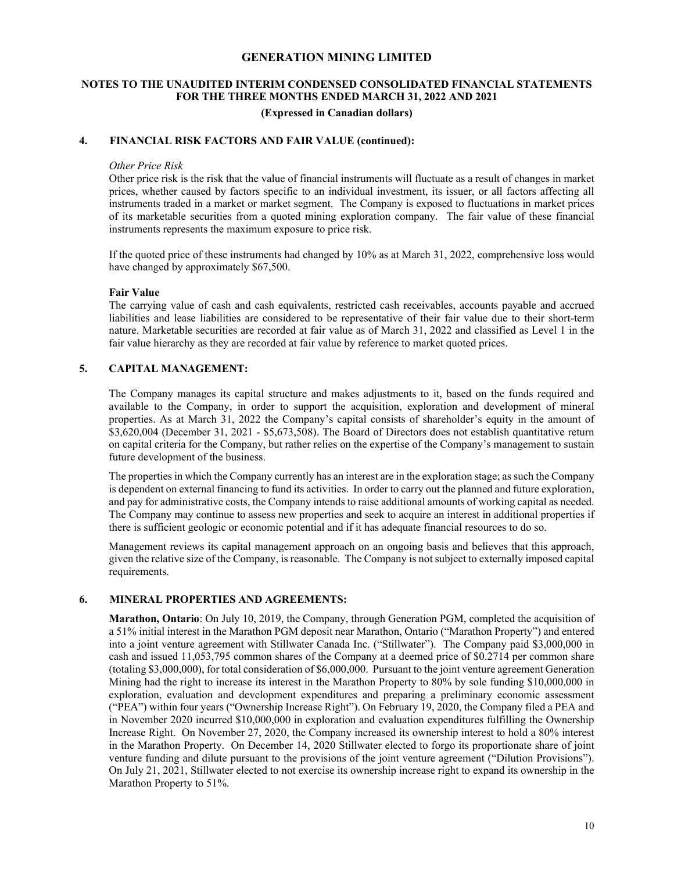## **NOTES TO THE UNAUDITED INTERIM CONDENSED CONSOLIDATED FINANCIAL STATEMENTS FOR THE THREE MONTHS ENDED MARCH 31, 2022 AND 2021 (Expressed in Canadian dollars)**

## **4. FINANCIAL RISK FACTORS AND FAIR VALUE (continued):**

#### *Other Price Risk*

Other price risk is the risk that the value of financial instruments will fluctuate as a result of changes in market prices, whether caused by factors specific to an individual investment, its issuer, or all factors affecting all instruments traded in a market or market segment. The Company is exposed to fluctuations in market prices of its marketable securities from a quoted mining exploration company. The fair value of these financial instruments represents the maximum exposure to price risk.

If the quoted price of these instruments had changed by 10% as at March 31, 2022, comprehensive loss would have changed by approximately \$67,500.

#### **Fair Value**

The carrying value of cash and cash equivalents, restricted cash receivables, accounts payable and accrued liabilities and lease liabilities are considered to be representative of their fair value due to their short-term nature. Marketable securities are recorded at fair value as of March 31, 2022 and classified as Level 1 in the fair value hierarchy as they are recorded at fair value by reference to market quoted prices.

#### **5. CAPITAL MANAGEMENT:**

The Company manages its capital structure and makes adjustments to it, based on the funds required and available to the Company, in order to support the acquisition, exploration and development of mineral properties. As at March 31, 2022 the Company's capital consists of shareholder's equity in the amount of \$3,620,004 (December 31, 2021 - \$5,673,508). The Board of Directors does not establish quantitative return on capital criteria for the Company, but rather relies on the expertise of the Company's management to sustain future development of the business.

The properties in which the Company currently has an interest are in the exploration stage; as such the Company is dependent on external financing to fund its activities. In order to carry out the planned and future exploration, and pay for administrative costs, the Company intends to raise additional amounts of working capital as needed. The Company may continue to assess new properties and seek to acquire an interest in additional properties if there is sufficient geologic or economic potential and if it has adequate financial resources to do so.

Management reviews its capital management approach on an ongoing basis and believes that this approach, given the relative size of the Company, is reasonable. The Company is not subject to externally imposed capital requirements.

#### **6. MINERAL PROPERTIES AND AGREEMENTS:**

**Marathon, Ontario**: On July 10, 2019, the Company, through Generation PGM, completed the acquisition of a 51% initial interest in the Marathon PGM deposit near Marathon, Ontario ("Marathon Property") and entered into a joint venture agreement with Stillwater Canada Inc. ("Stillwater"). The Company paid \$3,000,000 in cash and issued 11,053,795 common shares of the Company at a deemed price of \$0.2714 per common share (totaling \$3,000,000), for total consideration of \$6,000,000. Pursuant to the joint venture agreement Generation Mining had the right to increase its interest in the Marathon Property to 80% by sole funding \$10,000,000 in exploration, evaluation and development expenditures and preparing a preliminary economic assessment ("PEA") within four years ("Ownership Increase Right"). On February 19, 2020, the Company filed a PEA and in November 2020 incurred \$10,000,000 in exploration and evaluation expenditures fulfilling the Ownership Increase Right. On November 27, 2020, the Company increased its ownership interest to hold a 80% interest in the Marathon Property. On December 14, 2020 Stillwater elected to forgo its proportionate share of joint venture funding and dilute pursuant to the provisions of the joint venture agreement ("Dilution Provisions"). On July 21, 2021, Stillwater elected to not exercise its ownership increase right to expand its ownership in the Marathon Property to 51%.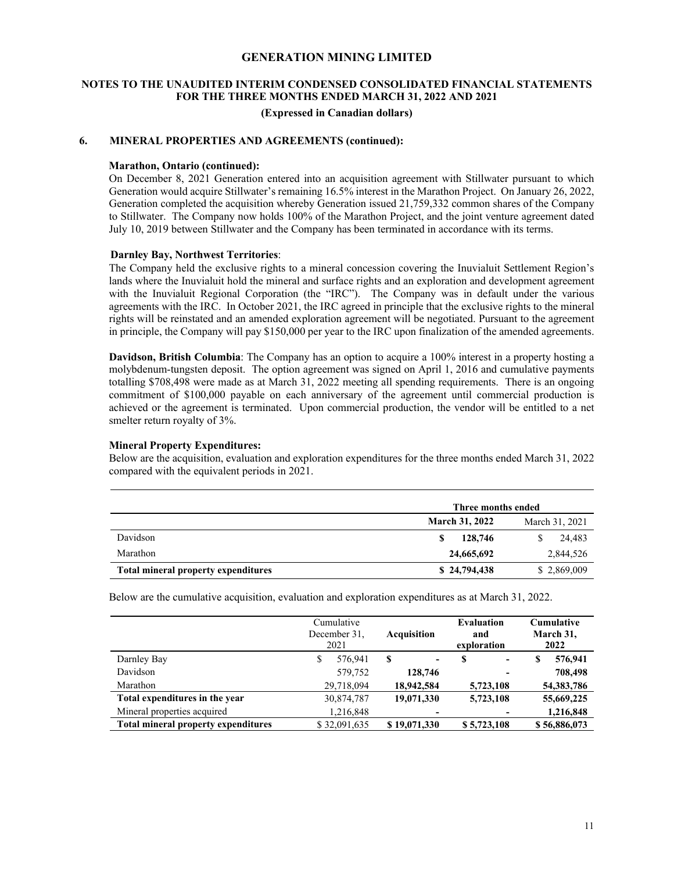# **NOTES TO THE UNAUDITED INTERIM CONDENSED CONSOLIDATED FINANCIAL STATEMENTS FOR THE THREE MONTHS ENDED MARCH 31, 2022 AND 2021**

## **(Expressed in Canadian dollars)**

## **6. MINERAL PROPERTIES AND AGREEMENTS (continued):**

#### **Marathon, Ontario (continued):**

On December 8, 2021 Generation entered into an acquisition agreement with Stillwater pursuant to which Generation would acquire Stillwater's remaining 16.5% interest in the Marathon Project. On January 26, 2022, Generation completed the acquisition whereby Generation issued 21,759,332 common shares of the Company to Stillwater. The Company now holds 100% of the Marathon Project, and the joint venture agreement dated July 10, 2019 between Stillwater and the Company has been terminated in accordance with its terms.

#### **Darnley Bay, Northwest Territories**:

The Company held the exclusive rights to a mineral concession covering the Inuvialuit Settlement Region's lands where the Inuvialuit hold the mineral and surface rights and an exploration and development agreement with the Inuvialuit Regional Corporation (the "IRC"). The Company was in default under the various agreements with the IRC. In October 2021, the IRC agreed in principle that the exclusive rights to the mineral rights will be reinstated and an amended exploration agreement will be negotiated. Pursuant to the agreement in principle, the Company will pay \$150,000 per year to the IRC upon finalization of the amended agreements.

**Davidson, British Columbia**: The Company has an option to acquire a 100% interest in a property hosting a molybdenum-tungsten deposit. The option agreement was signed on April 1, 2016 and cumulative payments totalling \$708,498 were made as at March 31, 2022 meeting all spending requirements. There is an ongoing commitment of \$100,000 payable on each anniversary of the agreement until commercial production is achieved or the agreement is terminated. Upon commercial production, the vendor will be entitled to a net smelter return royalty of 3%.

#### **Mineral Property Expenditures:**

Below are the acquisition, evaluation and exploration expenditures for the three months ended March 31, 2022 compared with the equivalent periods in 2021.

|                                     | Three months ended    |                |  |  |
|-------------------------------------|-----------------------|----------------|--|--|
|                                     | <b>March 31, 2022</b> | March 31, 2021 |  |  |
| Davidson                            | 128,746               | 24.483<br>S    |  |  |
| Marathon                            | 24,665,692            | 2,844,526      |  |  |
| Total mineral property expenditures | \$24,794,438          | \$2,869,009    |  |  |

Below are the cumulative acquisition, evaluation and exploration expenditures as at March 31, 2022.

|                                            | Cumulative<br>December 31,<br>2021 | <b>Acquisition</b>            | <b>Evaluation</b><br>and<br>exploration | <b>Cumulative</b><br>March 31,<br>2022 |
|--------------------------------------------|------------------------------------|-------------------------------|-----------------------------------------|----------------------------------------|
| Darnley Bay                                | \$<br>576.941                      | S<br>$\overline{\phantom{a}}$ | S<br>$\overline{\phantom{a}}$           | 576,941<br>S                           |
| Davidson                                   | 579,752                            | 128,746                       | -                                       | 708,498                                |
| Marathon                                   | 29,718,094                         | 18,942,584                    | 5,723,108                               | 54, 383, 786                           |
| Total expenditures in the year             | 30,874,787                         | 19,071,330                    | 5,723,108                               | 55,669,225                             |
| Mineral properties acquired                | 1,216,848                          | $\blacksquare$                | -                                       | 1,216,848                              |
| <b>Total mineral property expenditures</b> | \$32,091,635                       | \$19,071,330                  | \$5,723,108                             | \$56,886,073                           |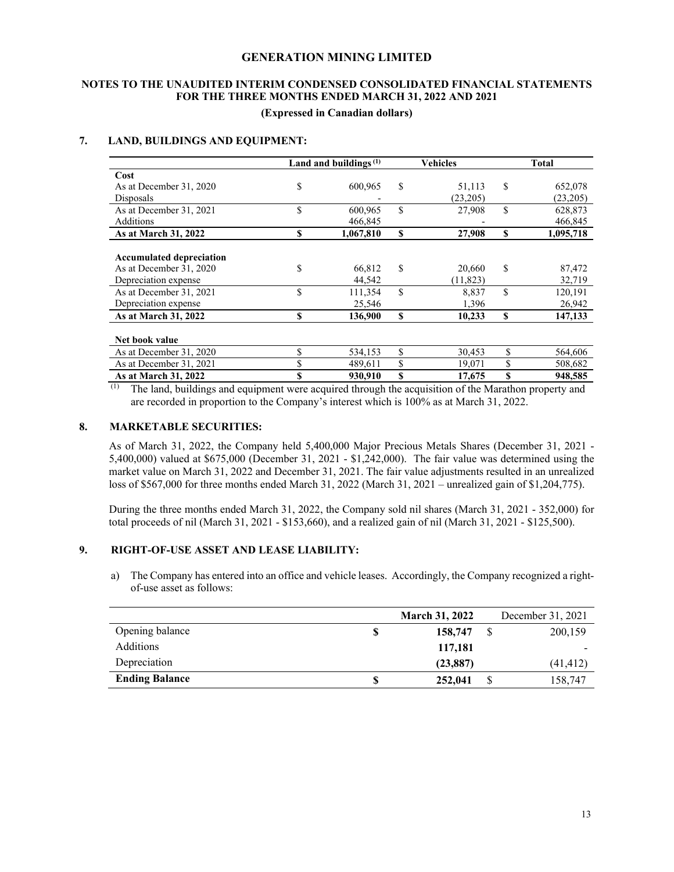# **NOTES TO THE UNAUDITED INTERIM CONDENSED CONSOLIDATED FINANCIAL STATEMENTS FOR THE THREE MONTHS ENDED MARCH 31, 2022 AND 2021**

#### **(Expressed in Canadian dollars)**

## **7. LAND, BUILDINGS AND EQUIPMENT:**

|                                 |    | Land and buildings $(1)$ |               | Vehicles  | <b>Total</b>    |
|---------------------------------|----|--------------------------|---------------|-----------|-----------------|
| Cost                            |    |                          |               |           |                 |
| As at December 31, 2020         | \$ | 600,965                  | <sup>\$</sup> | 51,113    | \$<br>652,078   |
| Disposals                       |    |                          |               | (23,205)  | (23,205)        |
| As at December 31, 2021         | \$ | 600,965                  | \$            | 27,908    | \$<br>628,873   |
| Additions                       |    | 466,845                  |               |           | 466,845         |
| As at March 31, 2022            | S  | 1,067,810                | S             | 27,908    | \$<br>1,095,718 |
|                                 |    |                          |               |           |                 |
| <b>Accumulated depreciation</b> |    |                          |               |           |                 |
| As at December 31, 2020         | \$ | 66.812                   | \$            | 20,660    | \$<br>87,472    |
| Depreciation expense            |    | 44,542                   |               | (11, 823) | 32,719          |
| As at December 31, 2021         | \$ | 111,354                  | \$            | 8,837     | \$<br>120,191   |
| Depreciation expense            |    | 25,546                   |               | 1,396     | 26,942          |
| As at March 31, 2022            | \$ | 136,900                  | S             | 10,233    | \$<br>147,133   |
|                                 |    |                          |               |           |                 |
| Net book value                  |    |                          |               |           |                 |
| As at December 31, 2020         | \$ | 534,153                  | \$            | 30,453    | \$<br>564,606   |
| As at December 31, 2021         | \$ | 489,611                  | \$            | 19,071    | \$<br>508,682   |
| As at March 31, 2022            | \$ | 930,910                  | S             | 17,675    | \$<br>948,585   |

(1) The land, buildings and equipment were acquired through the acquisition of the Marathon property and are recorded in proportion to the Company's interest which is 100% as at March 31, 2022.

#### **8. MARKETABLE SECURITIES:**

As of March 31, 2022, the Company held 5,400,000 Major Precious Metals Shares (December 31, 2021 - 5,400,000) valued at \$675,000 (December 31, 2021 - \$1,242,000). The fair value was determined using the market value on March 31, 2022 and December 31, 2021. The fair value adjustments resulted in an unrealized loss of \$567,000 for three months ended March 31, 2022 (March 31, 2021 – unrealized gain of \$1,204,775).

During the three months ended March 31, 2022, the Company sold nil shares (March 31, 2021 - 352,000) for total proceeds of nil (March 31, 2021 - \$153,660), and a realized gain of nil (March 31, 2021 - \$125,500).

#### **9. RIGHT-OF-USE ASSET AND LEASE LIABILITY:**

a) The Company has entered into an office and vehicle leases. Accordingly, the Company recognized a rightof-use asset as follows:

|                       | <b>March 31, 2022</b> | December 31, 2021 |
|-----------------------|-----------------------|-------------------|
| Opening balance       | 158,747               | 200,159           |
| <b>Additions</b>      | 117,181               |                   |
| Depreciation          | (23, 887)             | (41, 412)         |
| <b>Ending Balance</b> | 252,041               | 158,747           |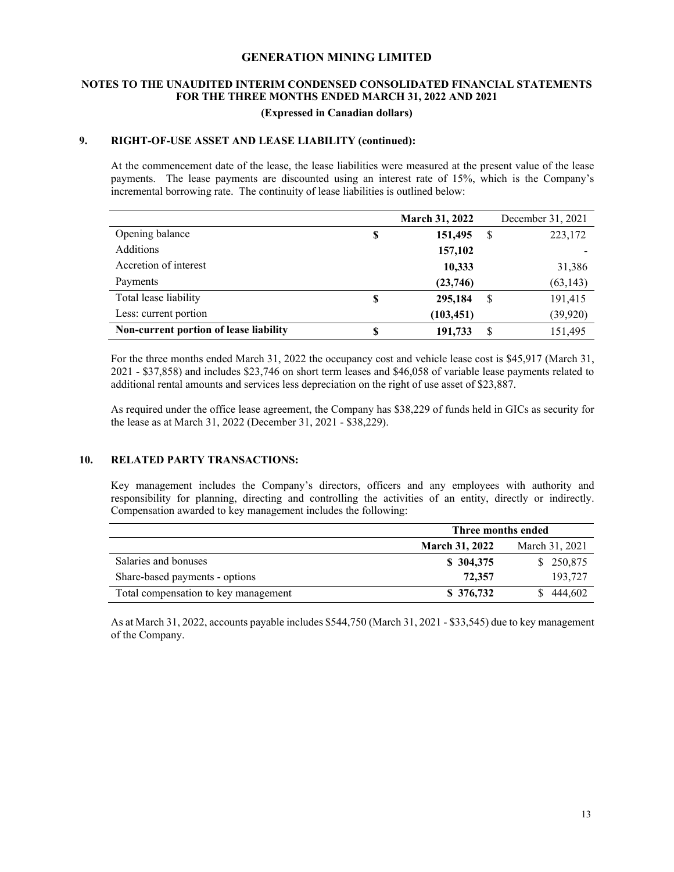## **NOTES TO THE UNAUDITED INTERIM CONDENSED CONSOLIDATED FINANCIAL STATEMENTS FOR THE THREE MONTHS ENDED MARCH 31, 2022 AND 2021 (Expressed in Canadian dollars)**

#### **9. RIGHT-OF-USE ASSET AND LEASE LIABILITY (continued):**

At the commencement date of the lease, the lease liabilities were measured at the present value of the lease payments. The lease payments are discounted using an interest rate of 15%, which is the Company's incremental borrowing rate. The continuity of lease liabilities is outlined below:

|                                        |   | <b>March 31, 2022</b> |              | December 31, 2021 |
|----------------------------------------|---|-----------------------|--------------|-------------------|
| Opening balance                        | S | 151,495               | -S           | 223,172           |
| Additions                              |   | 157,102               |              |                   |
| Accretion of interest                  |   | 10,333                |              | 31,386            |
| Payments                               |   | (23,746)              |              | (63, 143)         |
| Total lease liability                  | S | 295,184               | <sup>S</sup> | 191,415           |
| Less: current portion                  |   | (103, 451)            |              | (39, 920)         |
| Non-current portion of lease liability | S | 191,733               | S            | 151,495           |

For the three months ended March 31, 2022 the occupancy cost and vehicle lease cost is \$45,917 (March 31, 2021 - \$37,858) and includes \$23,746 on short term leases and \$46,058 of variable lease payments related to additional rental amounts and services less depreciation on the right of use asset of \$23,887.

As required under the office lease agreement, the Company has \$38,229 of funds held in GICs as security for the lease as at March 31, 2022 (December 31, 2021 - \$38,229).

## **10. RELATED PARTY TRANSACTIONS:**

Key management includes the Company's directors, officers and any employees with authority and responsibility for planning, directing and controlling the activities of an entity, directly or indirectly. Compensation awarded to key management includes the following:

|                                      | Three months ended    |                |  |  |
|--------------------------------------|-----------------------|----------------|--|--|
|                                      | <b>March 31, 2022</b> | March 31, 2021 |  |  |
| Salaries and bonuses                 | \$ 304,375            | \$ 250,875     |  |  |
| Share-based payments - options       | 72,357                | 193,727        |  |  |
| Total compensation to key management | \$376,732             | 444.602        |  |  |

As at March 31, 2022, accounts payable includes \$544,750 (March 31, 2021 - \$33,545) due to key management of the Company.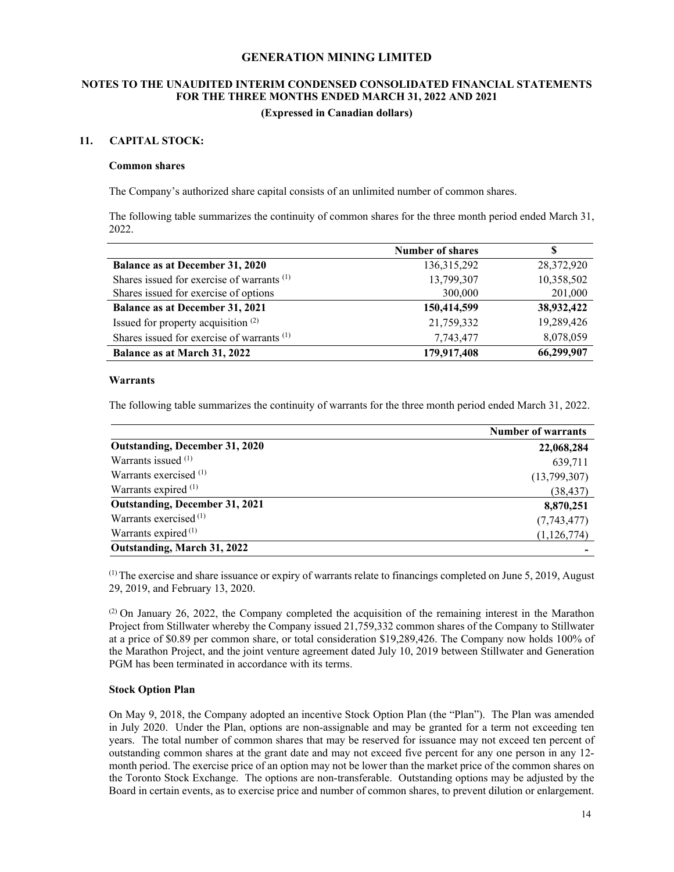## **NOTES TO THE UNAUDITED INTERIM CONDENSED CONSOLIDATED FINANCIAL STATEMENTS FOR THE THREE MONTHS ENDED MARCH 31, 2022 AND 2021 (Expressed in Canadian dollars)**

### **11. CAPITAL STOCK:**

#### **Common shares**

The Company's authorized share capital consists of an unlimited number of common shares.

The following table summarizes the continuity of common shares for the three month period ended March 31, 2022.

|                                                       | <b>Number of shares</b> |            |
|-------------------------------------------------------|-------------------------|------------|
| <b>Balance as at December 31, 2020</b>                | 136,315,292             | 28,372,920 |
| Shares issued for exercise of warrants $(1)$          | 13,799,307              | 10,358,502 |
| Shares issued for exercise of options                 | 300,000                 | 201,000    |
| <b>Balance as at December 31, 2021</b>                | 150,414,599             | 38,932,422 |
| Issued for property acquisition $(2)$                 | 21,759,332              | 19,289,426 |
| Shares issued for exercise of warrants <sup>(1)</sup> | 7,743,477               | 8,078,059  |
| Balance as at March 31, 2022                          | 179,917,408             | 66,299,907 |

#### **Warrants**

The following table summarizes the continuity of warrants for the three month period ended March 31, 2022.

|                                       | <b>Number of warrants</b> |
|---------------------------------------|---------------------------|
| <b>Outstanding, December 31, 2020</b> | 22,068,284                |
| Warrants issued (1)                   | 639,711                   |
| Warrants exercised (1)                | (13,799,307)              |
| Warrants expired (1)                  | (38, 437)                 |
| <b>Outstanding, December 31, 2021</b> | 8,870,251                 |
| Warrants exercised <sup>(1)</sup>     | (7,743,477)               |
| Warrants expired <sup>(1)</sup>       | (1,126,774)               |
| Outstanding, March 31, 2022           |                           |

 $<sup>(1)</sup>$  The exercise and share issuance or expiry of warrants relate to financings completed on June 5, 2019, August</sup> 29, 2019, and February 13, 2020.

 $(2)$  On January 26, 2022, the Company completed the acquisition of the remaining interest in the Marathon Project from Stillwater whereby the Company issued 21,759,332 common shares of the Company to Stillwater at a price of \$0.89 per common share, or total consideration \$19,289,426. The Company now holds 100% of the Marathon Project, and the joint venture agreement dated July 10, 2019 between Stillwater and Generation PGM has been terminated in accordance with its terms.

#### **Stock Option Plan**

On May 9, 2018, the Company adopted an incentive Stock Option Plan (the "Plan"). The Plan was amended in July 2020. Under the Plan, options are non-assignable and may be granted for a term not exceeding ten years. The total number of common shares that may be reserved for issuance may not exceed ten percent of outstanding common shares at the grant date and may not exceed five percent for any one person in any 12 month period. The exercise price of an option may not be lower than the market price of the common shares on the Toronto Stock Exchange. The options are non-transferable. Outstanding options may be adjusted by the Board in certain events, as to exercise price and number of common shares, to prevent dilution or enlargement.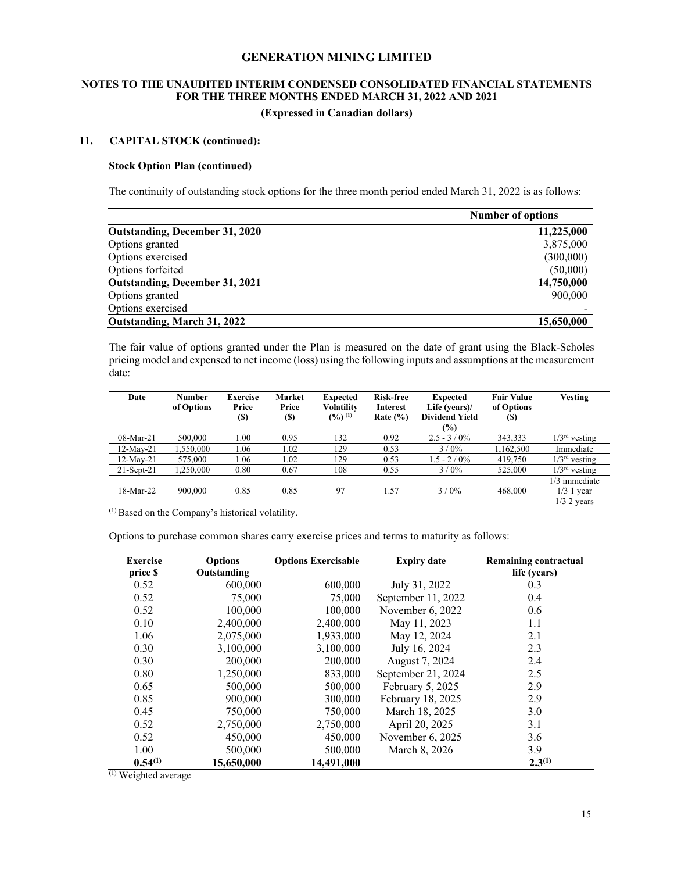## **NOTES TO THE UNAUDITED INTERIM CONDENSED CONSOLIDATED FINANCIAL STATEMENTS FOR THE THREE MONTHS ENDED MARCH 31, 2022 AND 2021 (Expressed in Canadian dollars)**

## **11. CAPITAL STOCK (continued):**

#### **Stock Option Plan (continued)**

The continuity of outstanding stock options for the three month period ended March 31, 2022 is as follows:

| <b>Number of options</b>              |            |
|---------------------------------------|------------|
| <b>Outstanding, December 31, 2020</b> | 11,225,000 |
| Options granted                       | 3,875,000  |
| Options exercised                     | (300,000)  |
| Options forfeited                     | (50,000)   |
| <b>Outstanding, December 31, 2021</b> | 14,750,000 |
| Options granted                       | 900,000    |
| Options exercised                     |            |
| Outstanding, March 31, 2022           | 15,650,000 |

The fair value of options granted under the Plan is measured on the date of grant using the Black-Scholes pricing model and expensed to net income (loss) using the following inputs and assumptions at the measurement date:

| Date          | <b>Number</b><br>of Options | <b>Exercise</b><br>Price<br>$\left( \mathbb{S}\right)$ | Market<br>Price<br><b>(S)</b> | <b>Expected</b><br>Volatility<br>$($ %) $^{(1)}$ | <b>Risk-free</b><br><b>Interest</b><br>Rate $(\% )$ | <b>Expected</b><br>Life (years)/<br><b>Dividend Yield</b><br>$\frac{9}{6}$ | <b>Fair Value</b><br>of Options<br>(S) | <b>Vesting</b>                                   |
|---------------|-----------------------------|--------------------------------------------------------|-------------------------------|--------------------------------------------------|-----------------------------------------------------|----------------------------------------------------------------------------|----------------------------------------|--------------------------------------------------|
| $08-Mar-21$   | 500,000                     | 1.00                                                   | 0.95                          | 132                                              | 0.92                                                | $2.5 - 3 / 0\%$                                                            | 343,333                                | $1/3rd$ vesting                                  |
| 12-May-21     | 1.550.000                   | 1.06                                                   | 1.02                          | 129                                              | 0.53                                                | $3/0\%$                                                                    | 1,162,500                              | Immediate                                        |
| 12-May-21     | 575,000                     | 1.06                                                   | 1.02                          | 129                                              | 0.53                                                | $1.5 - 2 / 0\%$                                                            | 419,750                                | $1/3rd$ vesting                                  |
| $21$ -Sept-21 | 1,250,000                   | 0.80                                                   | 0.67                          | 108                                              | 0.55                                                | $3/0\%$                                                                    | 525,000                                | $1/3rd$ vesting                                  |
| $18-Mar-22$   | 900,000                     | 0.85                                                   | 0.85                          | 97                                               | 1.57                                                | $3/0\%$                                                                    | 468,000                                | $1/3$ immediate<br>$1/3$ 1 year<br>$1/3$ 2 years |

(1) Based on the Company's historical volatility.

Options to purchase common shares carry exercise prices and terms to maturity as follows:

| <b>Exercise</b><br>price \$ | <b>Options</b><br>Outstanding | <b>Options Exercisable</b> | <b>Expiry date</b> | Remaining contractual<br>life (years) |
|-----------------------------|-------------------------------|----------------------------|--------------------|---------------------------------------|
| 0.52                        | 600,000                       | 600,000                    | July 31, 2022      | 0.3                                   |
| 0.52                        | 75,000                        | 75,000                     | September 11, 2022 | 0.4                                   |
| 0.52                        | 100,000                       | 100,000                    | November 6, 2022   | 0.6                                   |
| 0.10                        | 2,400,000                     | 2,400,000                  | May 11, 2023       | 1.1                                   |
| 1.06                        | 2,075,000                     | 1,933,000                  | May 12, 2024       | 2.1                                   |
| 0.30                        | 3,100,000                     | 3,100,000                  | July 16, 2024      | 2.3                                   |
| 0.30                        | 200,000                       | 200,000                    | August 7, 2024     | 2.4                                   |
| 0.80                        | 1,250,000                     | 833,000                    | September 21, 2024 | 2.5                                   |
| 0.65                        | 500,000                       | 500,000                    | February 5, 2025   | 2.9                                   |
| 0.85                        | 900,000                       | 300,000                    | February 18, 2025  | 2.9                                   |
| 0.45                        | 750,000                       | 750,000                    | March 18, 2025     | 3.0                                   |
| 0.52                        | 2,750,000                     | 2,750,000                  | April 20, 2025     | 3.1                                   |
| 0.52                        | 450,000                       | 450,000                    | November 6, 2025   | 3.6                                   |
| 1.00                        | 500,000                       | 500,000                    | March 8, 2026      | 3.9                                   |
| $0.54^{(1)}$                | 15,650,000                    | 14,491,000                 |                    | $2.3^{(1)}$                           |

(1) Weighted average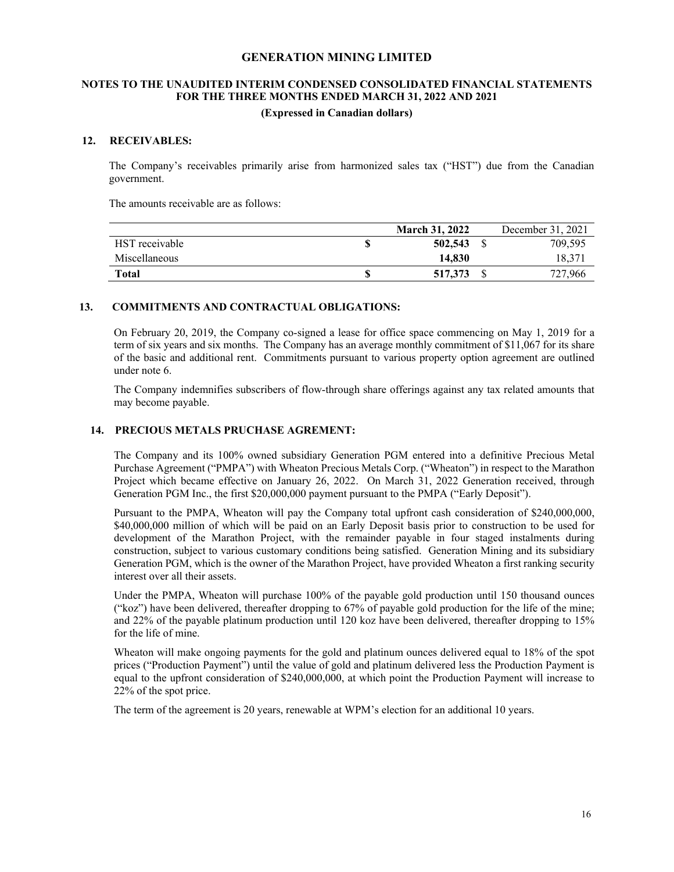## **NOTES TO THE UNAUDITED INTERIM CONDENSED CONSOLIDATED FINANCIAL STATEMENTS FOR THE THREE MONTHS ENDED MARCH 31, 2022 AND 2021 (Expressed in Canadian dollars)**

#### **12. RECEIVABLES:**

The Company's receivables primarily arise from harmonized sales tax ("HST") due from the Canadian government.

The amounts receivable are as follows:

|                | <b>March 31, 2022</b> | December 31, 2021 |
|----------------|-----------------------|-------------------|
| HST receivable | 502,543               | 709.595           |
| Miscellaneous  | 14.830                | 18.371            |
| <b>Total</b>   | 517,373               | 727,966           |

#### **13. COMMITMENTS AND CONTRACTUAL OBLIGATIONS:**

On February 20, 2019, the Company co-signed a lease for office space commencing on May 1, 2019 for a term of six years and six months. The Company has an average monthly commitment of \$11,067 for its share of the basic and additional rent. Commitments pursuant to various property option agreement are outlined under note 6.

The Company indemnifies subscribers of flow-through share offerings against any tax related amounts that may become payable.

#### **14. PRECIOUS METALS PRUCHASE AGREMENT:**

The Company and its 100% owned subsidiary Generation PGM entered into a definitive Precious Metal Purchase Agreement ("PMPA") with Wheaton Precious Metals Corp. ("Wheaton") in respect to the Marathon Project which became effective on January 26, 2022. On March 31, 2022 Generation received, through Generation PGM Inc., the first \$20,000,000 payment pursuant to the PMPA ("Early Deposit").

Pursuant to the PMPA, Wheaton will pay the Company total upfront cash consideration of \$240,000,000, \$40,000,000 million of which will be paid on an Early Deposit basis prior to construction to be used for development of the Marathon Project, with the remainder payable in four staged instalments during construction, subject to various customary conditions being satisfied. Generation Mining and its subsidiary Generation PGM, which is the owner of the Marathon Project, have provided Wheaton a first ranking security interest over all their assets.

Under the PMPA, Wheaton will purchase 100% of the payable gold production until 150 thousand ounces ("koz") have been delivered, thereafter dropping to 67% of payable gold production for the life of the mine; and 22% of the payable platinum production until 120 koz have been delivered, thereafter dropping to 15% for the life of mine.

Wheaton will make ongoing payments for the gold and platinum ounces delivered equal to 18% of the spot prices ("Production Payment") until the value of gold and platinum delivered less the Production Payment is equal to the upfront consideration of \$240,000,000, at which point the Production Payment will increase to 22% of the spot price.

The term of the agreement is 20 years, renewable at WPM's election for an additional 10 years.